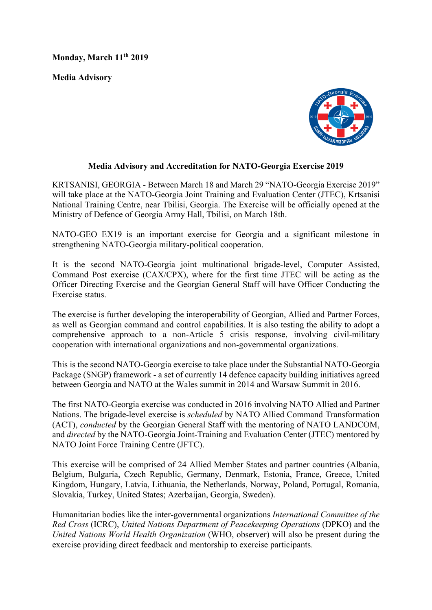**Monday, March 11th 2019**

**Media Advisory**



## **Media Advisory and Accreditation for NATO-Georgia Exercise 2019**

KRTSANISI, GEORGIA - Between March 18 and March 29 "NATO-Georgia Exercise 2019" will take place at the NATO-Georgia Joint Training and Evaluation Center (JTEC), Krtsanisi National Training Centre, near Tbilisi, Georgia. The Exercise will be officially opened at the Ministry of Defence of Georgia Army Hall, Tbilisi, on March 18th.

NATO-GEO EX19 is an important exercise for Georgia and a significant milestone in strengthening NATO-Georgia military-political cooperation.

It is the second NATO-Georgia joint multinational brigade-level, Computer Assisted, Command Post exercise (CAX/CPX), where for the first time JTEC will be acting as the Officer Directing Exercise and the Georgian General Staff will have Officer Conducting the Exercise status.

The exercise is further developing the interoperability of Georgian, Allied and Partner Forces, as well as Georgian command and control capabilities. It is also testing the ability to adopt a comprehensive approach to a non-Article 5 crisis response, involving civil-military cooperation with international organizations and non-governmental organizations.

This is the second NATO-Georgia exercise to take place under the Substantial NATO-Georgia Package (SNGP) framework - a set of currently 14 defence capacity building initiatives agreed between Georgia and NATO at the Wales summit in 2014 and Warsaw Summit in 2016.

The first NATO-Georgia exercise was conducted in 2016 involving NATO Allied and Partner Nations. The brigade-level exercise is *scheduled* by NATO Allied Command Transformation (ACT), *conducted* by the Georgian General Staff with the mentoring of NATO LANDCOM, and *directed* by the NATO-Georgia Joint-Training and Evaluation Center (JTEC) mentored by NATO Joint Force Training Centre (JFTC).

This exercise will be comprised of 24 Allied Member States and partner countries (Albania, Belgium, Bulgaria, Czech Republic, Germany, Denmark, Estonia, France, Greece, United Kingdom, Hungary, Latvia, Lithuania, the Netherlands, Norway, Poland, Portugal, Romania, Slovakia, Turkey, United States; Azerbaijan, Georgia, Sweden).

Humanitarian bodies like the inter-governmental organizations *International Committee of the Red Cross* (ICRC), *United Nations Department of Peacekeeping Operations* (DPKO) and the *United Nations World Health Organization* (WHO, observer) will also be present during the exercise providing direct feedback and mentorship to exercise participants.